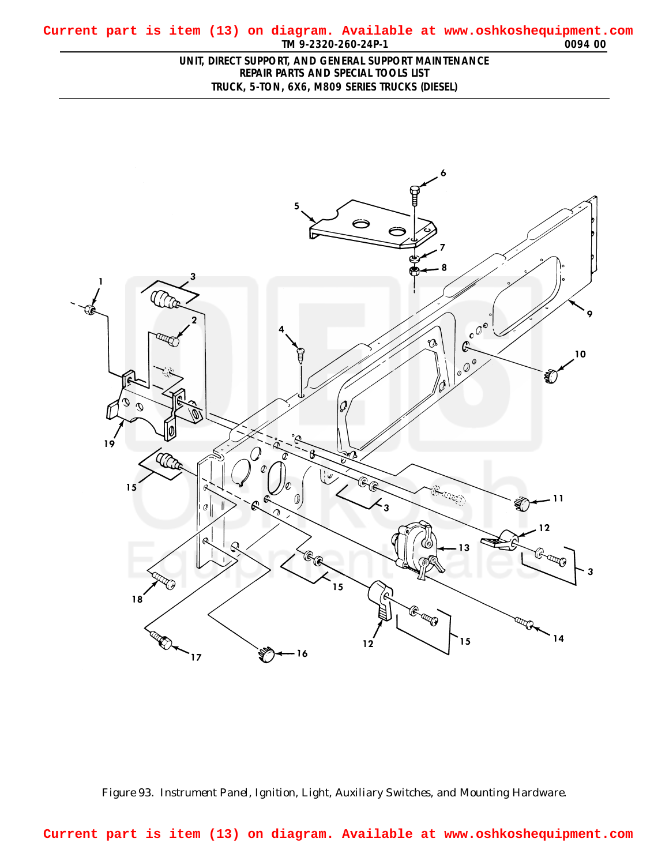## <span id="page-0-0"></span>**TM 9-2320-260-24P-1 0094 00 Current part is item (13) on diagram. Available at www.oshkoshequipment.com**

## **UNIT, DIRECT SUPPORT, AND GENERAL SUPPORT MAINTENANCE REPAIR PARTS AND SPECIAL TOOLS LIST TRUCK, 5-TON, 6X6, M809 SERIES TRUCKS (DIESEL)**



*Figure 93. Instrument Panel, Ignition, Light, Auxiliary Switches, and Mounting Hardware.*

**Current part is item (13) on diagram. Available at www.oshkoshequipment.com**